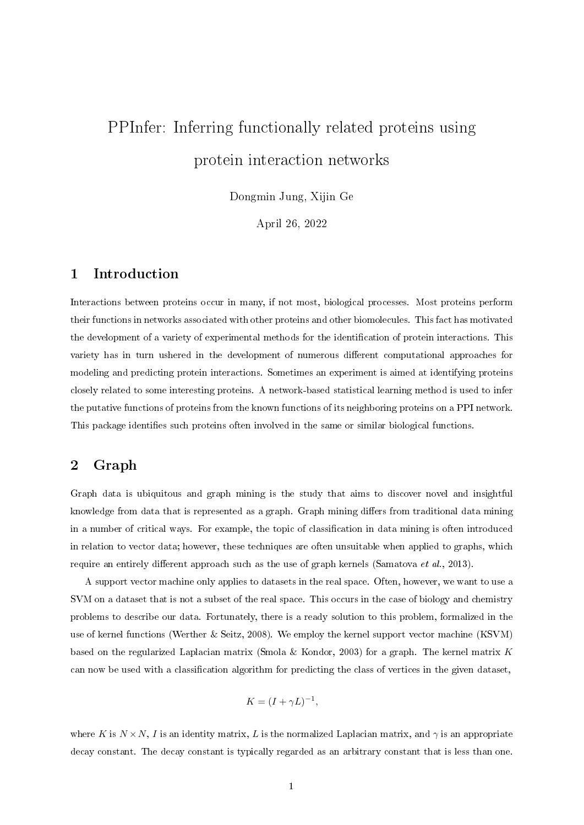# PPInfer: Inferring functionally related proteins using protein interaction networks

Dongmin Jung, Xijin Ge

April 26, 2022

# 1 Introduction

Interactions between proteins occur in many, if not most, biological processes. Most proteins perform their functions in networks associated with other proteins and other biomolecules. This fact has motivated the development of a variety of experimental methods for the identification of protein interactions. This variety has in turn ushered in the development of numerous different computational approaches for modeling and predicting protein interactions. Sometimes an experiment is aimed at identifying proteins closely related to some interesting proteins. A network-based statistical learning method is used to infer the putative functions of proteins from the known functions of its neighboring proteins on a PPI network. This package identifies such proteins often involved in the same or similar biological functions.

# 2 Graph

Graph data is ubiquitous and graph mining is the study that aims to discover novel and insightful knowledge from data that is represented as a graph. Graph mining differs from traditional data mining in a number of critical ways. For example, the topic of classication in data mining is often introduced in relation to vector data; however, these techniques are often unsuitable when applied to graphs, which require an entirely different approach such as the use of graph kernels (Samatova et al., 2013).

A support vector machine only applies to datasets in the real space. Often, however, we want to use a SVM on a dataset that is not a subset of the real space. This occurs in the case of biology and chemistry problems to describe our data. Fortunately, there is a ready solution to this problem, formalized in the use of kernel functions (Werther & Seitz, 2008). We employ the kernel support vector machine (KSVM) based on the regularized Laplacian matrix (Smola & Kondor, 2003) for a graph. The kernel matrix K can now be used with a classification algorithm for predicting the class of vertices in the given dataset,

$$
K = (I + \gamma L)^{-1},
$$

where K is  $N \times N$ , I is an identity matrix, L is the normalized Laplacian matrix, and  $\gamma$  is an appropriate decay constant. The decay constant is typically regarded as an arbitrary constant that is less than one.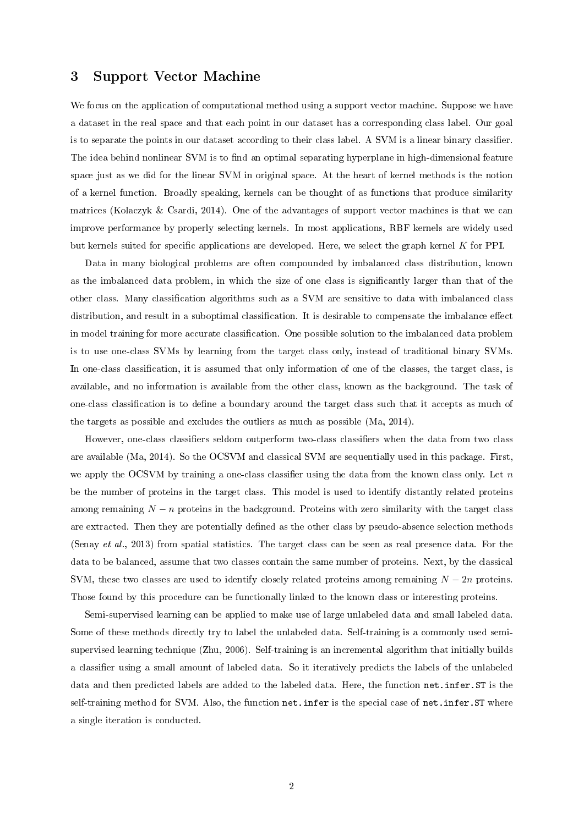## 3 Support Vector Machine

We focus on the application of computational method using a support vector machine. Suppose we have a dataset in the real space and that each point in our dataset has a corresponding class label. Our goal is to separate the points in our dataset according to their class label. A SVM is a linear binary classifier. The idea behind nonlinear SVM is to find an optimal separating hyperplane in high-dimensional feature space just as we did for the linear SVM in original space. At the heart of kernel methods is the notion of a kernel function. Broadly speaking, kernels can be thought of as functions that produce similarity matrices (Kolaczyk & Csardi, 2014). One of the advantages of support vector machines is that we can improve performance by properly selecting kernels. In most applications, RBF kernels are widely used but kernels suited for specific applications are developed. Here, we select the graph kernel  $K$  for PPI.

Data in many biological problems are often compounded by imbalanced class distribution, known as the imbalanced data problem, in which the size of one class is signicantly larger than that of the other class. Many classification algorithms such as a SVM are sensitive to data with imbalanced class distribution, and result in a suboptimal classification. It is desirable to compensate the imbalance effect in model training for more accurate classification. One possible solution to the imbalanced data problem is to use one-class SVMs by learning from the target class only, instead of traditional binary SVMs. In one-class classification, it is assumed that only information of one of the classes, the target class, is available, and no information is available from the other class, known as the background. The task of one-class classification is to define a boundary around the target class such that it accepts as much of the targets as possible and excludes the outliers as much as possible (Ma, 2014).

However, one-class classifiers seldom outperform two-class classifiers when the data from two class are available (Ma, 2014). So the OCSVM and classical SVM are sequentially used in this package. First, we apply the OCSVM by training a one-class classifier using the data from the known class only. Let  $n$ be the number of proteins in the target class. This model is used to identify distantly related proteins among remaining  $N - n$  proteins in the background. Proteins with zero similarity with the target class are extracted. Then they are potentially defined as the other class by pseudo-absence selection methods (Senay et al., 2013) from spatial statistics. The target class can be seen as real presence data. For the data to be balanced, assume that two classes contain the same number of proteins. Next, by the classical SVM, these two classes are used to identify closely related proteins among remaining  $N - 2n$  proteins. Those found by this procedure can be functionally linked to the known class or interesting proteins.

Semi-supervised learning can be applied to make use of large unlabeled data and small labeled data. Some of these methods directly try to label the unlabeled data. Self-training is a commonly used semisupervised learning technique (Zhu, 2006). Self-training is an incremental algorithm that initially builds a classier using a small amount of labeled data. So it iteratively predicts the labels of the unlabeled data and then predicted labels are added to the labeled data. Here, the function net.infer.ST is the self-training method for SVM. Also, the function net.infer is the special case of net.infer.ST where a single iteration is conducted.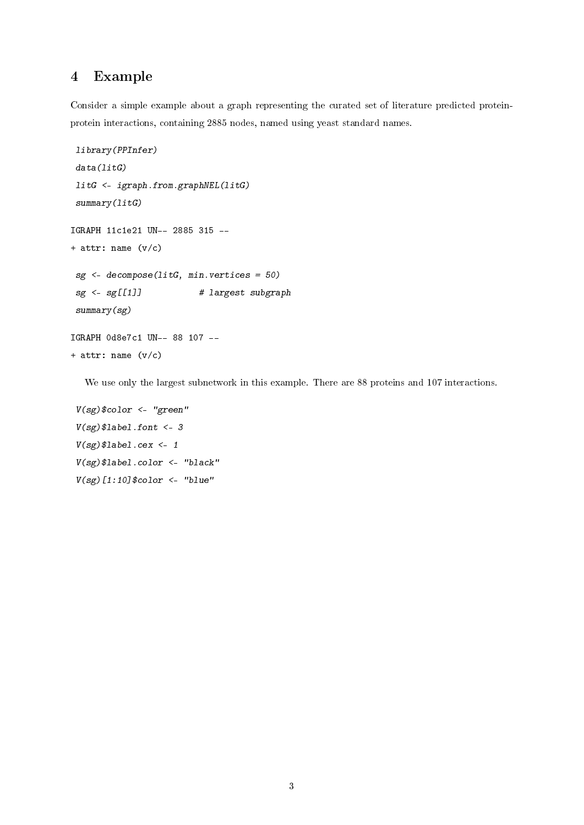# 4 Example

Consider a simple example about a graph representing the curated set of literature predicted proteinprotein interactions, containing 2885 nodes, named using yeast standard names.

```
library(PPInfer)
 data(litG)
 litG <- igraph.from.graphNEL(litG)
 summary(listG)IGRAPH 11c1e21 UN-- 2885 315 --
+ attr: name (v/c)sg <- decompose(litG, min.vertices = 50)
 sg <- sg[[1]] # largest subgraph
 summary(sg)
IGRAPH 0d8e7c1 UN-- 88 107 --
+ attr: name (v/c)
```
We use only the largest subnetwork in this example. There are 88 proteins and 107 interactions.

```
V(sg)$color <- "green"
V(sg)$label.font <- 3
V(sg)$label.cex <- 1
V(sg)$label.color <- "black"
V(sg)[1:10]$color <- "blue"
```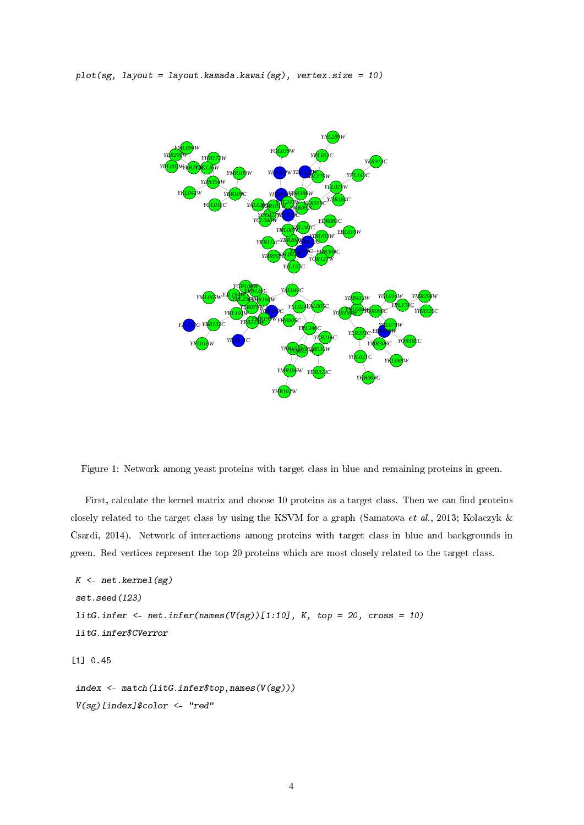$plot(sg, layout = layout.kamada.kawai(sg), vertex.size = 10)$ 



Figure 1: Network among yeast proteins with target class in blue and remaining proteins in green.

First, calculate the kernel matrix and choose 10 proteins as a target class. Then we can find proteins closely related to the target class by using the KSVM for a graph (Samatova et al., 2013; Kolaczyk & Csardi, 2014). Network of interactions among proteins with target class in blue and backgrounds in green. Red vertices represent the top 20 proteins which are most closely related to the target class.

```
K \leftarrow net. kernel(sg)
set.seed(123)
litG.infer \leftarrow net.infer(names(V(sg))[1:10], K, top = 20, cross = 10)
litG.infer$CVerror
[1] 0.45
index <- match(litG.infer$top,names(V(sg)))
V(sg)[index]$color <- "red"
```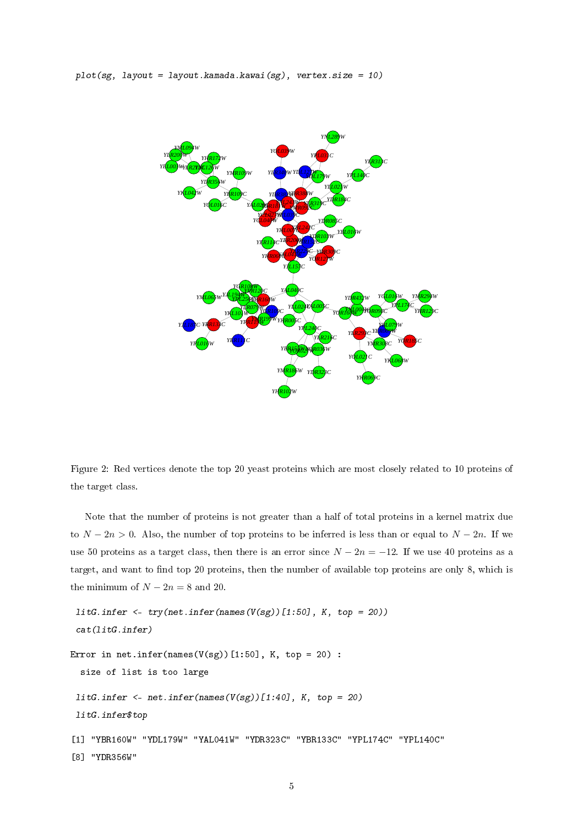$plot(sg, layout = layout.kamada.kawai(sg), vertex.size = 10)$ 



Figure 2: Red vertices denote the top 20 yeast proteins which are most closely related to 10 proteins of the target class.

Note that the number of proteins is not greater than a half of total proteins in a kernel matrix due to  $N - 2n > 0$ . Also, the number of top proteins to be inferred is less than or equal to  $N - 2n$ . If we use 50 proteins as a target class, then there is an error since  $N - 2n = -12$ . If we use 40 proteins as a target, and want to find top 20 proteins, then the number of available top proteins are only 8, which is the minimum of  $N - 2n = 8$  and 20.

```
litG.infer \leftarrow try(net.infer(names(V(sg))[1:50], K, top = 20))cat(litG.infer)
Error in net.infer(names(V(sg))[1:50], K, top = 20) :
  size of list is too large
 litG.infer <- net.infer(names(V(sg))[1:40], K, top = 20)
 litG.infer$top
[1] "YBR160W" "YDL179W" "YAL041W" "YDR323C" "YBR133C" "YPL174C" "YPL140C"
[8] "YDR356W"
```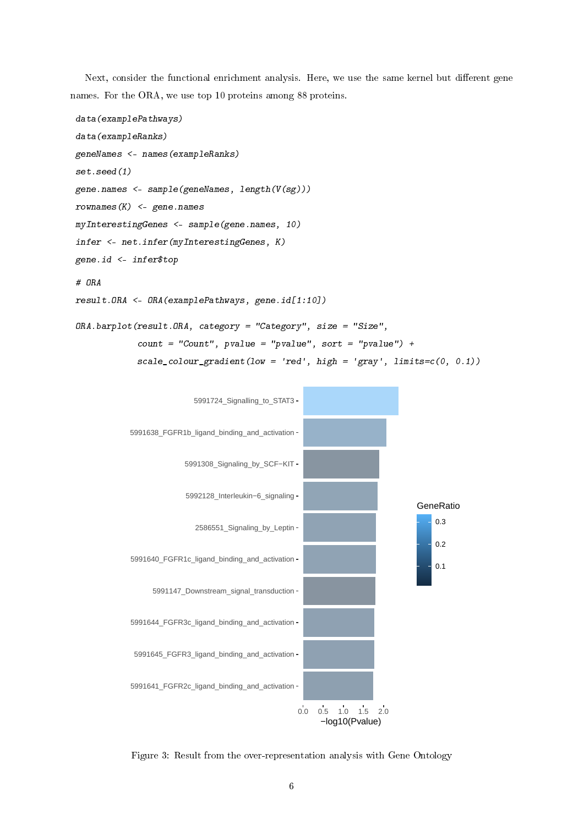Next, consider the functional enrichment analysis. Here, we use the same kernel but different gene names. For the ORA, we use top 10 proteins among 88 proteins.

```
data(examplePathways)
data(exampleRanks)
geneNames <- names(exampleRanks)
set.seed(1)
gene.names <- sample(geneNames, length(V(sg)))
rownames(K) <- gene.names
myInterestingGenes <- sample(gene.names, 10)
infer <- net.infer(myInterestingGenes, K)
gene.id <- infer$top
# ORA
result.ORA <- ORA(examplePathways, gene.id[1:10])
ORA.barplot(result.ORA, category = "Category", size = "Size",
```

```
count = "Count", pvalue = "pvalue", sort = "pvalue") +scale\_colour\_gradient(low = 'red', high = 'gray', limits=c(0, 0.1))
```


Figure 3: Result from the over-representation analysis with Gene Ontology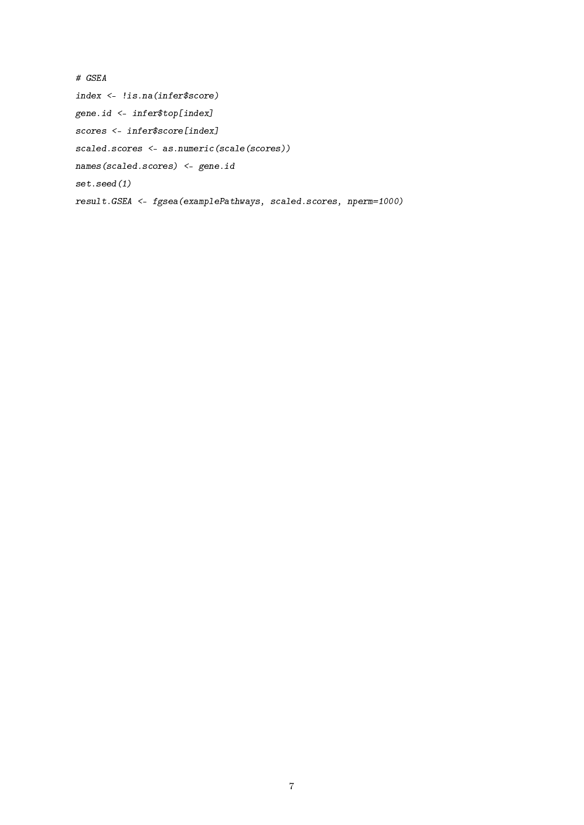```
# GSEA
index <- !is.na(infer$score)
gene.id <- infer$top[index]
scores <- infer$score[index]
scaled.scores <- as.numeric(scale(scores))
names(scaled.scores) <- gene.id
set.seed(1)
result.GSEA <- fgsea(examplePathways, scaled.scores, nperm=1000)
```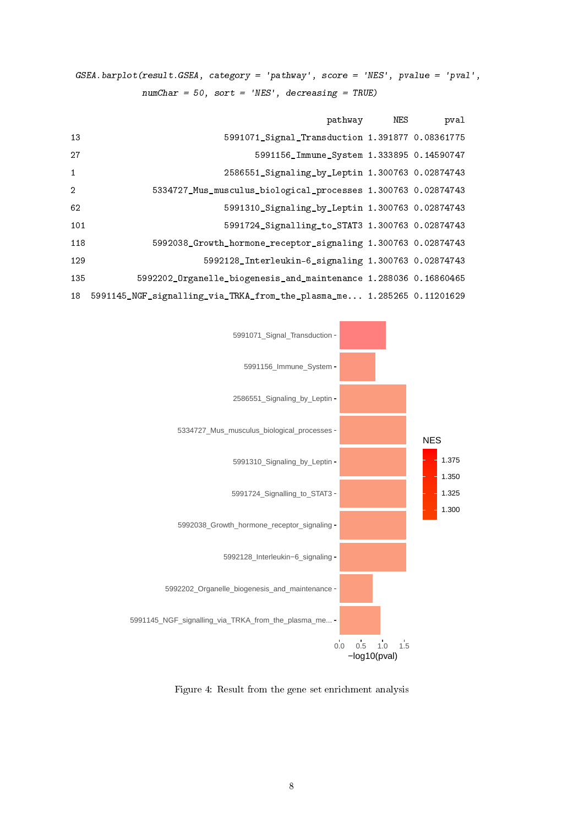GSEA.barplot(result.GSEA, category = 'pathway', score = 'NES', pvalue = 'pval',  $numChar = 50$ , sort = 'NES', decreasing = TRUE)

|                |                                                                        | pathway NES | pval |
|----------------|------------------------------------------------------------------------|-------------|------|
| 13             | 5991071_Signal_Transduction 1.391877 0.08361775                        |             |      |
| 27             | 5991156 Immune System 1.333895 0.14590747                              |             |      |
| $\mathbf{1}$   | 2586551 Signaling by Leptin 1.300763 0.02874743                        |             |      |
| $\overline{2}$ | 5334727_Mus_musculus_biological_processes 1.300763 0.02874743          |             |      |
| 62             | 5991310_Signaling_by_Leptin 1.300763 0.02874743                        |             |      |
| 101            | 5991724_Signalling_to_STAT3 1.300763 0.02874743                        |             |      |
| 118            | 5992038_Growth_hormone_receptor_signaling 1.300763 0.02874743          |             |      |
| 129            | 5992128_Interleukin-6_signaling 1.300763 0.02874743                    |             |      |
| 135            | 5992202_Organelle_biogenesis_and_maintenance 1.288036 0.16860465       |             |      |
| 18             | 5991145_NGF_signalling_via_TRKA_from_the_plasma_me 1.285265 0.11201629 |             |      |



Figure 4: Result from the gene set enrichment analysis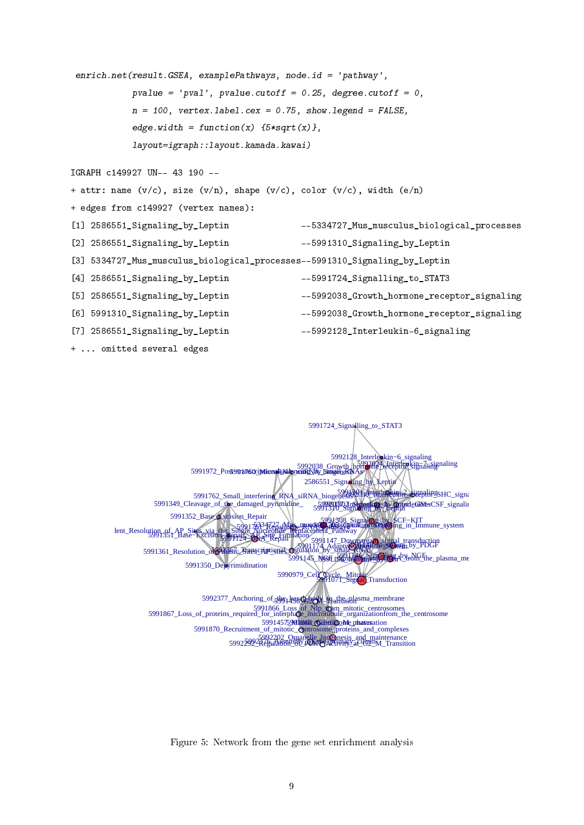```
enrich.net(result.GSEA, examplePathways, node.id = 'pathway',
           pvalue = 'pval', pvalue.cutoff = 0.25, degree.cutoff = 0,
           n = 100, vertex.label.cex = 0.75, show.legend = FALSE,
           edge.width = function(x) {5*sqrt(x)},
           layout=igraph::layout.kamada.kawai)
IGRAPH c149927 UN-- 43 190 --
+ attr: name (v/c), size (v/n), shape (v/c), color (v/c), width (e/n)+ edges from c149927 (vertex names):
[1] 2586551_Signaling_by_Leptin --5334727_Mus_musculus_biological_processes
[2] 2586551_Signaling_by_Leptin --5991310_Signaling_by_Leptin
[3] 5334727_Mus_musculus_biological_processes--5991310_Signaling_by_Leptin
[4] 2586551_Signaling_by_Leptin --5991724_Signalling_to_STAT3
[5] 2586551_Signaling_by_Leptin --5992038_Growth_hormone_receptor_signaling
[6] 5991310_Signaling_by_Leptin --5992038_Growth_hormone_receptor_signaling
[7] 2586551_Signaling_by_Leptin --5992128_Interleukin-6_signaling
+ ... omitted several edges
```


Figure 5: Network from the gene set enrichment analysis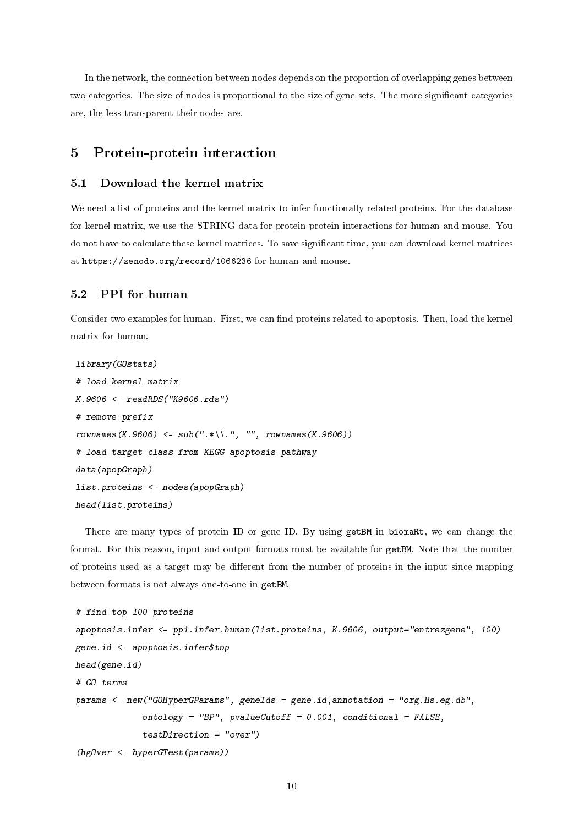In the network, the connection between nodes depends on the proportion of overlapping genes between two categories. The size of nodes is proportional to the size of gene sets. The more significant categories are, the less transparent their nodes are.

# 5 Protein-protein interaction

#### 5.1 Download the kernel matrix

We need a list of proteins and the kernel matrix to infer functionally related proteins. For the database for kernel matrix, we use the STRING data for protein-protein interactions for human and mouse. You do not have to calculate these kernel matrices. To save significant time, you can download kernel matrices at https://zenodo.org/record/1066236 for human and mouse.

### 5.2 PPI for human

Consider two examples for human. First, we can find proteins related to apoptosis. Then, load the kernel matrix for human.

```
library(GOstats)
# load kernel matrix
K.9606 <- readRDS("K9606.rds")
# remove prefix
rownames(K.9606) <- sub(".*\\.", "", rownames(K.9606))
# load target class from KEGG apoptosis pathway
data(apopGraph)
list.proteins <- nodes(apopGraph)
head(list.proteins)
```
There are many types of protein ID or gene ID. By using getBM in biomaRt, we can change the format. For this reason, input and output formats must be available for getBM. Note that the number of proteins used as a target may be different from the number of proteins in the input since mapping between formats is not always one-to-one in getBM.

```
# find top 100 proteins
apoptosis.infer <- ppi.infer.human(list.proteins, K.9606, output="entrezgene", 100)
gene.id <- apoptosis.infer$top
head(gene.id)
# GO terms
params <- new("GOHyperGParams", geneIds = gene.id,annotation = "org.Hs.eg.db",
             ontology = "BP", pvalueCutoff = 0.001, conditional = FALSE,
             testDirection = "over")
(hgOver <- hyperGTest(params))
```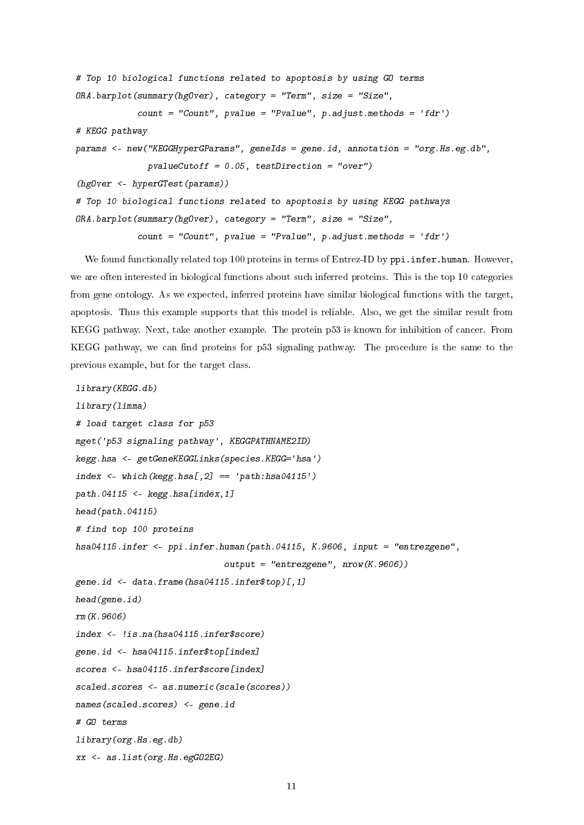```
# Top 10 biological functions related to apoptosis by using GO terms
ORA. barplot(summary(hgOver), category = "Term", size = "Size",count = "Count", pvalue = "Pvalue", p.addjust.methods = 'fdr')# KEGG pathway
params <- new("KEGGHyperGParams", geneIds = gene.id, annotation = "org.Hs.eg.db",
              pvalueCutoff = 0.05, testDirection = "over")
(hgOver <- hyperGTest(params))
# Top 10 biological functions related to apoptosis by using KEGG pathways
ORA.barplot(summary(hgOver), category = "Term", size = "Size",
            count = "Count", pvalue = "Pvalue", p.addjust.methods = 'fdr')
```
We found functionally related top 100 proteins in terms of Entrez-ID by ppi.infer.human. However, we are often interested in biological functions about such inferred proteins. This is the top 10 categories from gene ontology. As we expected, inferred proteins have similar biological functions with the target, apoptosis. Thus this example supports that this model is reliable. Also, we get the similar result from KEGG pathway. Next, take another example. The protein p53 is known for inhibition of cancer. From KEGG pathway, we can find proteins for p53 signaling pathway. The procedure is the same to the previous example, but for the target class.

```
library(KEGG.db)
library(limma)
# load target class for p53
mget('p53 signaling pathway', KEGGPATHNAME2ID)
kegg.hsa <- getGeneKEGGLinks(species.KEGG='hsa')
index \leq which(kegg.hsa[,2] == 'path:hsa04115')
path.04115 \leq kegg.hsa[index,1]
head(path.04115)
# find top 100 proteins
hsa04115.infer <- ppi.infer.human(path.04115, K.9606, input = "entrezgene",
                             output = "entrezgene", nrow(K.9606))gene.id <- data.frame(hsa04115.infer$top)[,1]
head(gene.id)
rm(K.9606)
index <- !is.na(hsa04115.infer$score)
gene.id <- hsa04115.infer$top[index]
scores <- hsa04115.infer$score[index]
scaled.scores <- as.numeric(scale(scores))
names(scaled.scores) <- gene.id
# GO terms
library(org.Hs.eg.db)
xx <- as.list(org.Hs.egGO2EG)
```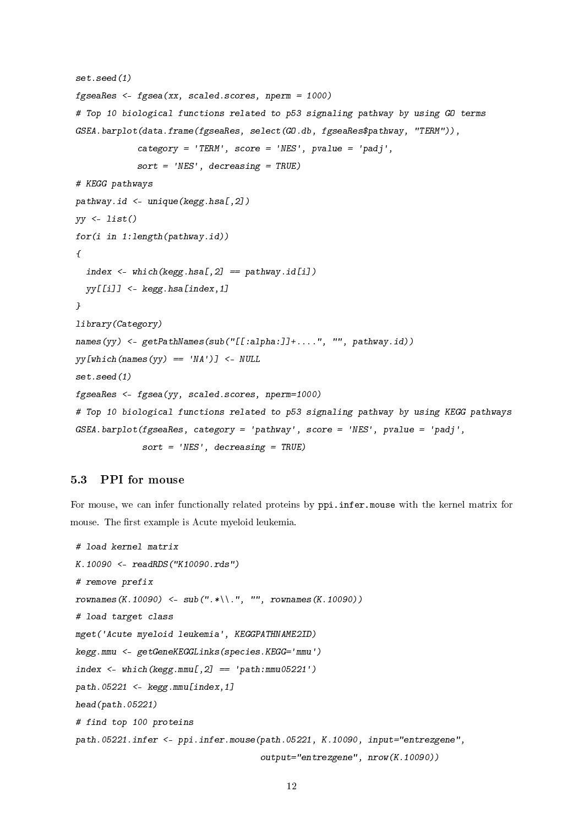```
set.seed(1)
fgseaRes <- fgsea(xx, scaled.scores, nperm = 1000)
# Top 10 biological functions related to p53 signaling pathway by using GO terms
GSEA.barplot(data.frame(fgseaRes, select(GO.db, fgseaRes$pathway, "TERM")),
            category = 'TERM', score = 'NES', pvalue = 'padj',sort = 'NES', decreasing = TRUE)# KEGG pathways
pathway.id <- unique(kegg.hsa[,2])
yy <- list()
for(i in 1:length(pathway.id))
\left\{ \right.index \leq which(kegg.hsa[,2] == pathway.id[i])
  yy[[i]] <- kegg.hsa[index,1]
}
library(Category)
names(yy) \leftarrow getPathNames(sub("[[:alpha:]]+. \dots", "", pathway.id])yy[which(names(yy) == 'NA')] <- NULL
set.seed(1)
fgseaRes <- fgsea(yy, scaled.scores, nperm=1000)
# Top 10 biological functions related to p53 signaling pathway by using KEGG pathways
GSEA.barplot(fgseaRes, category = 'pathway', score = 'NES', pvalue = 'padj',
             sort = 'NES', decreasing = TRUE)
```
# 5.3 PPI for mouse

For mouse, we can infer functionally related proteins by ppi.infer.mouse with the kernel matrix for mouse. The first example is Acute myeloid leukemia.

```
# load kernel matrix
K.10090 <- readRDS("K10090.rds")
# remove prefix
rownames(K.10090) <- sub(".*\\.", "", rownames(K.10090))
# load target class
mget('Acute myeloid leukemia', KEGGPATHNAME2ID)
kegg.mmu <- getGeneKEGGLinks(species.KEGG='mmu')
index \leq which(kegg.mmu[,2] == 'path:mmu05221')
path.05221 \leq kegg.mmu[index,1]
head(path.05221)
# find top 100 proteins
path.05221.infer <- ppi.infer.mouse(path.05221, K.10090, input="entrezgene",
                                     output="entrezgene", nrow(K.10090))
```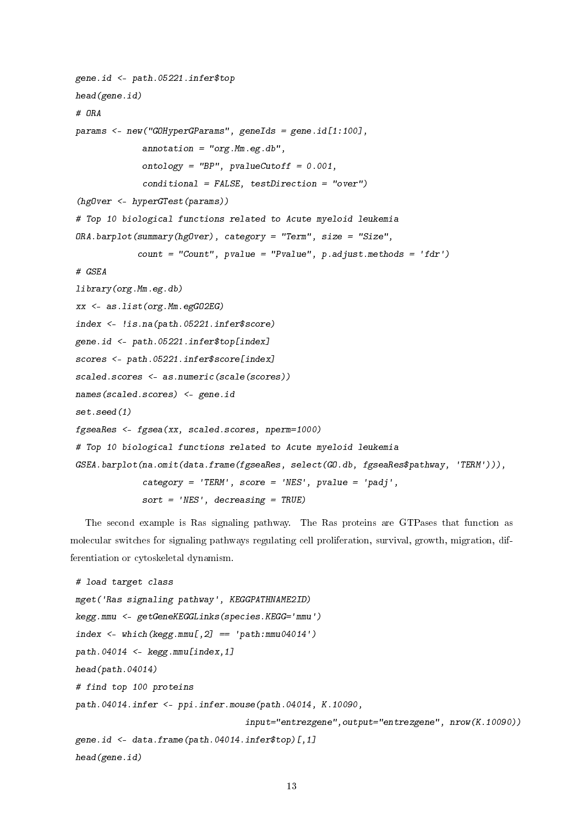```
gene.id <- path.05221.infer$top
head(gene.id)
# ORA
params <- new("GOHyperGParams", geneIds = gene.id[1:100],
             annotation = "org.Mm. eg.db",ontology = "BP", pvalueCutoff = 0.001,
             conditional = FALSE, testDirection = "over")
(hgOver <- hyperGTest(params))
# Top 10 biological functions related to Acute myeloid leukemia
ORA.barplot(summary(hgOver), category = "Term", size = "Size",
            count = "Count", pvalue = "Pvalue", p.addjust.methods = 'fdr')# GSEA
library(org.Mm.eg.db)
xx <- as.list(org.Mm.egGO2EG)
index <- !is.na(path.05221.infer$score)
gene.id <- path.05221.infer$top[index]
scores <- path.05221.infer$score[index]
scaled.scores <- as.numeric(scale(scores))
names(scaled.scores) <- gene.id
set.seed(1)
fgseaRes <- fgsea(xx, scaled.scores, nperm=1000)
# Top 10 biological functions related to Acute myeloid leukemia
GSEA.barplot(na.omit(data.frame(fgseaRes, select(GO.db, fgseaRes$pathway, 'TERM'))),
             category = 'TERM', score = 'NES', pvalue = 'padj',sort = 'NES', decreasing = TRUE)
```
The second example is Ras signaling pathway. The Ras proteins are GTPases that function as molecular switches for signaling pathways regulating cell proliferation, survival, growth, migration, differentiation or cytoskeletal dynamism.

```
# load target class
mget('Ras signaling pathway', KEGGPATHNAME2ID)
kegg.mmu <- getGeneKEGGLinks(species.KEGG='mmu')
index \leq which(kegg.mmu[,2] == 'path:mmu04014')
path.04014 <- kegg.mmu[index,1]
head(path.04014)
# find top 100 proteins
path.04014.infer <- ppi.infer.mouse(path.04014, K.10090,
                                  input="entrezgene",output="entrezgene", nrow(K.10090))
gene.id <- data.frame(path.04014.infer$top)[,1]
head(gene.id)
```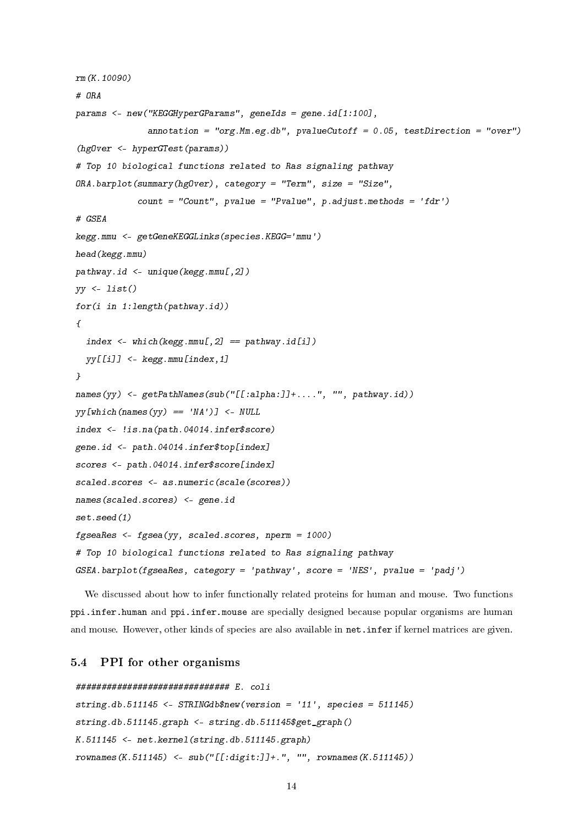```
rm(K.10090)
# ORA
params <- new("KEGGHyperGParams", geneIds = gene.id[1:100],
              annotation = "org. Mm. eg.db", pvalueCutoff = 0.05, testDirection = "over")
(hgOver <- hyperGTest(params))
# Top 10 biological functions related to Ras signaling pathway
ORA.barplot(summary(hgOver), category = "Term", size = "Size",
            count = "Count", pvalue = "Pvalue", p.addjust.methods = 'fdr')# GSEA
kegg.mmu <- getGeneKEGGLinks(species.KEGG='mmu')
head(kegg.mmu)
pathway.id <- unique(kegg.mmu[,2])
yy <- list()
for(i in 1: length (pathway.id)\sqrt{ }index \leq which(kegg.mmu[,2] == pathway.id[i])
 yy[[i]] <- kegg.mmu[index,1]
}
names(yy) <- getPathNames(sub("[[:alpha:]]+....", "", pathway.id))
yy[which(names(yy) == 'NA')] <- NULL
index <- !is.na(path.04014.infer$score)
gene.id <- path.04014.infer$top[index]
scores <- path.04014.infer$score[index]
scaled.scores <- as.numeric(scale(scores))
names(scaled.scores) <- gene.id
set.seed(1)
fgseaRes <- fgsea(yy, scaled.scores, nperm = 1000)
# Top 10 biological functions related to Ras signaling pathway
GSEA.barplot(fgseaRes, category = 'pathway', score = 'NES', pvalue = 'padj')
```
We discussed about how to infer functionally related proteins for human and mouse. Two functions ppi.infer.human and ppi.infer.mouse are specially designed because popular organisms are human and mouse. However, other kinds of species are also available in net.infer if kernel matrices are given.

#### 5.4 PPI for other organisms

```
############################## E. coli
string.db.511145 <- STRINGdb$new(version = '11', species = 511145)
string.db.511145.graph <- string.db.511145$get_graph()
K.511145 <- net.kernel(string.db.511145.graph)
rownames(K.511145) <- sub("[[:digit:]]+.", "", rownames(K.511145))
```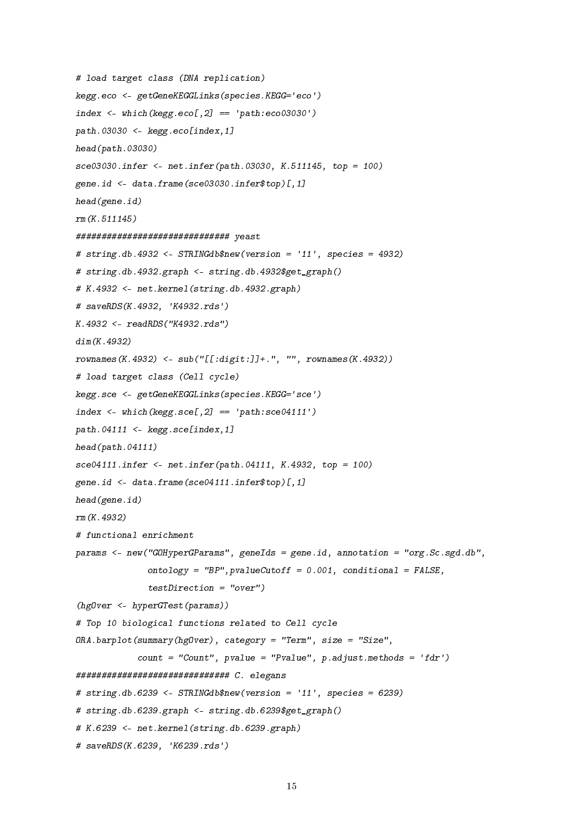```
# load target class (DNA replication)
kegg.eco <- getGeneKEGGLinks(species.KEGG='eco')
index \leq which(kegg.eco[,2] == 'path:eco03030')
path.03030 \leq kegg.eco[index,1]
head(path.03030)
sce03030.infer <- net.infer(path.03030, K.511145, top = 100)
gene.id <- data.frame(sce03030.infer$top)[,1]
head(gene.id)
rm(K.511145)
############################## yeast
# string.db.4932 <- STRINGdb$new(version = '11', species = 4932)
# string.db.4932.graph <- string.db.4932$get_graph()
# K.4932 <- net.kernel(string.db.4932.graph)
# saveRDS(K.4932, 'K4932.rds')
K.4932 <- readRDS("K4932.rds")
dim(K.4932)
rownames(K.4932) <- sub("[[:digit:]]+.", "", rownames(K.4932))
# load target class (Cell cycle)
kegg.sce <- getGeneKEGGLinks(species.KEGG='sce')
index \leq which(kegg.sce[,2] == 'path:sce04111')
path.04111 \leq kegg.sce[index,1]
head(path.04111)
sce04111.infer <- net.infer(path.04111, K.4932, top = 100)
gene.id <- data.frame(sce04111.infer$top)[,1]
head(gene.id)
rm(K.4932)
# functional enrichment
params <- new("GOHyperGParams", geneIds = gene.id, annotation = "org.Sc.sgd.db",
              ontology = "BP", pvalueCutoff = 0.001, conditional = FALSE,
              testDirection = "over")
(hgOver <- hyperGTest(params))
# Top 10 biological functions related to Cell cycle
ORA.barplot(summary(hgOver), category = "Term", size = "Size",
            count = "Count", pvalue = "Pvalue", p.addjust.methods = 'fdr')############################## C. elegans
# string.db.6239 \leq- STRINGdb$new(version = '11', species = 6239)
# string.db.6239.graph <- string.db.6239$get_graph()
# K.6239 <- net.kernel(string.db.6239.graph)
# saveRDS(K.6239, 'K6239.rds')
```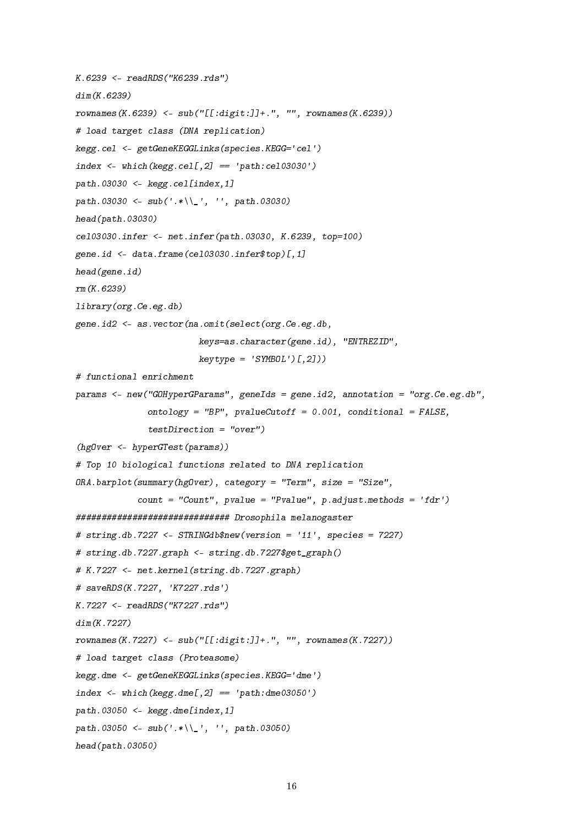```
K.6239 <- readRDS("K6239.rds")
dim(K.6239)
rownames(K.6239) <- sub("[[:digit:]]+.", "", rownames(K.6239))
# load target class (DNA replication)
kegg.cel <- getGeneKEGGLinks(species.KEGG='cel')
index \leq which(kegg.cel[,2] == 'path:cel03030')
path.03030 \leq kegg.cel[index,1]
path.03030 <- sub('.*\\_', '', path.03030)
head(path.03030)
cel03030.infer <- net.infer(path.03030, K.6239, top=100)
gene.id <- data.frame(cel03030.infer$top)[,1]
head(gene.id)
rm(K.6239)
library(org.Ce.eg.db)
gene.id2 <- as.vector(na.omit(select(org.Ce.eg.db,
                        keys=as.character(gene.id), "ENTREZID",
                        keytype = 'SYMBOL')[, 2])# functional enrichment
params <- new("GOHyperGParams", geneIds = gene.id2, annotation = "org.Ce.eg.db",
              ontology = "BP", pvalueCutoff = 0.001, conditional = FALSE,
              testDirection = "over")
(hgOver <- hyperGTest(params))
# Top 10 biological functions related to DNA replication
ORA.barplot(summary(hgOver), category = "Term", size = "Size",
            count = "Count", pvalue = "Pvalue", p.addjust.methods = 'fdr')############################## Drosophila melanogaster
# string.db.7227 <- STRINGdb$new(version = '11', species = 7227)
# string.db.7227.graph <- string.db.7227$get_graph()
# K.7227 <- net.kernel(string.db.7227.graph)
# saveRDS(K.7227, 'K7227.rds')
K.7227 <- readRDS("K7227.rds")
dim(K.7227)
rownames(K.7227) <- sub("[[:digit:]]+.", "", rownames(K.7227))
# load target class (Proteasome)
kegg.dme <- getGeneKEGGLinks(species.KEGG='dme')
index \leq which(kegg.dme[,2] == 'path:dme03050')
path.03050 <- kegg.dme[index,1]
path.03050 <- sub('.*\\_', '', path.03050)
head(path.03050)
```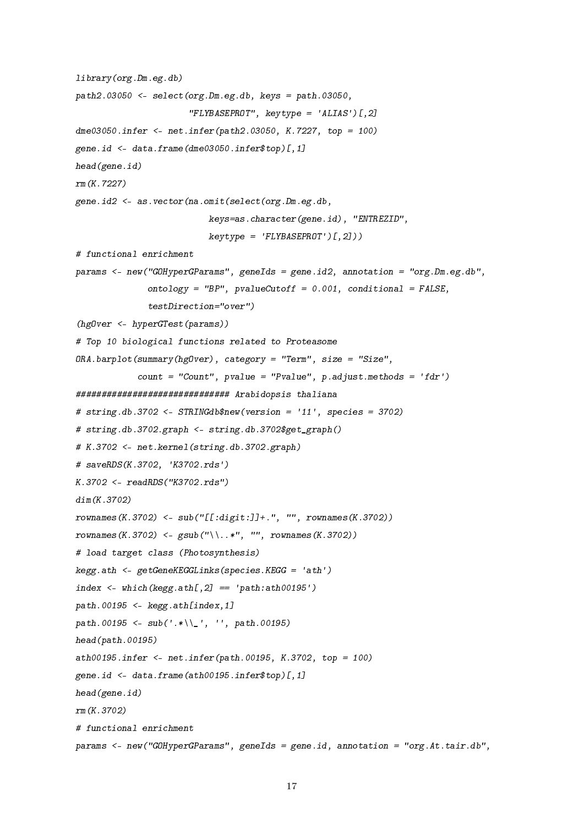```
library(org.Dm.eg.db)
path2.03050 \leftarrow select(org.Dm. eg. db, keys = path.03050,"FLYBASEPROT", keytype = 'ALIAS')[,2]
dme03050.infer <- net.infer(path2.03050, K.7227, top = 100)
gene.id \leq data.frame(dme03050.infer$top) [,1]
head(gene.id)
rm(K.7227)
gene.id2 <- as.vector(na.omit(select(org.Dm.eg.db,
                          keys=as.character(gene.id), "ENTREZID",
                          keytype = 'FLYBASEPROT') [0, 2])# functional enrichment
params <- new("GOHyperGParams", geneIds = gene.id2, annotation = "org.Dm.eg.db",
              ontology = "BP", pvalueCutoff = 0.001, conditional = FALSE,
              testDirection="over")
(hgOver <- hyperGTest(params))
# Top 10 biological functions related to Proteasome
ORA. barplot(summary(hgOver), category = "Term", size = "Size",count = "Count", pvalue = "Pvalue", p.addjust.methods = 'fdr')############################## Arabidopsis thaliana
# string.db.3702 <- STRINGdb$new(version = '11', species = 3702)
# string.db.3702.graph <- string.db.3702$get_graph()
# K.3702 <- net.kernel(string.db.3702.graph)
# saveRDS(K.3702, 'K3702.rds')
K.3702 <- readRDS("K3702.rds")
dim(K.3702)
rownames(K.3702) <- sub("[[:digit:]]+.", "", rownames(K.3702))
rownames(K.3702) <- gsub("\\..*", "", rownames(K.3702))# load target class (Photosynthesis)
keyg.ath \leftarrow getGeneKEGGLinks(species.KEGG = 'ath')index \leq which(kegg.ath[,2] == 'path:ath00195')
path.00195 \leftarrow kegg.ath[index,1]
path.00195 <- sub('.*\\_', '', path.00195)
head(path.00195)
ath00195.infer <- net.infer(path.00195, K.3702, top = 100)
gene.id <- data.frame(ath00195.infer$top)[,1]
head(gene.id)
rm(K.3702)
# functional enrichment
params <- new("GOHyperGParams", geneIds = gene.id, annotation = "org.At.tair.db",
```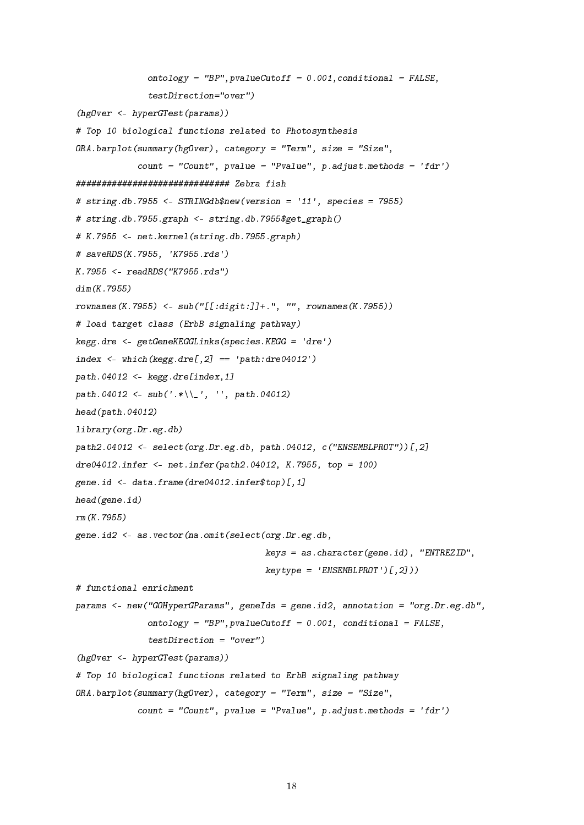```
ontology = "BP", pvalueCutoff = 0.001, conditional = FALSE,
              testDirection="over")
(hgOver <- hyperGTest(params))
# Top 10 biological functions related to Photosynthesis
ORA.barplot(summary(hgOver), category = "Term", size = "Size",
            count = "Count", pvalue = "Pvalue", p.addjust.methods = 'fdr')############################## Zebra fish
# string.db.7955 <- STRINGdb$new(version = '11', species = 7955)
# string.db.7955.graph <- string.db.7955$get_graph()
# K.7955 <- net.kernel(string.db.7955.graph)
# saveRDS(K.7955, 'K7955.rds')
K.7955 <- readRDS("K7955.rds")
dim(K.7955)
r{\circ}wnames(K.7955) <- sub("[[:digit:]]+.", "", rownames(K.7955))
# load target class (ErbB signaling pathway)
kegg.dre <- getGeneKEGGLinks(species.KEGG = 'dre')
index \leq which(kegg.dre[,2] == 'path:dre04012')
path.04012 \leftarrow kegg.dre[index,1]
path.04012 <- sub('.*\\'), '', path.04012)
head(path.04012)
library(org.Dr.eg.db)
path2.04012 <- select(org.Dr.eg.db, path.04012, c("ENSEMBLPROT"))[,2]
dre04012.infer <- net.infer(path2.04012, K.7955, top = 100)
gene.id <- data.frame(dre04012.infer$top)[,1]
head(gene.id)
rm(K.7955)
gene.id2 <- as.vector(na.omit(select(org.Dr.eg.db,
                                      keys = as. character(gene.id), "ENTREZID",
                                      keytype = 'ENSEMBLPROT') [0, 2])# functional enrichment
params <- new("GOHyperGParams", geneIds = gene.id2, annotation = "org.Dr.eg.db",
              ontology = "BP", pvalueCutoff = 0.001, conditional = FALSE,
              testDirection = "over")
(hgOver <- hyperGTest(params))
# Top 10 biological functions related to ErbB signaling pathway
ORA.barplot(summary(hgOver), category = "Term", size = "Size",
            count = "Count", pvalue = "Pvalue", p.addjust.methods = 'fdr')
```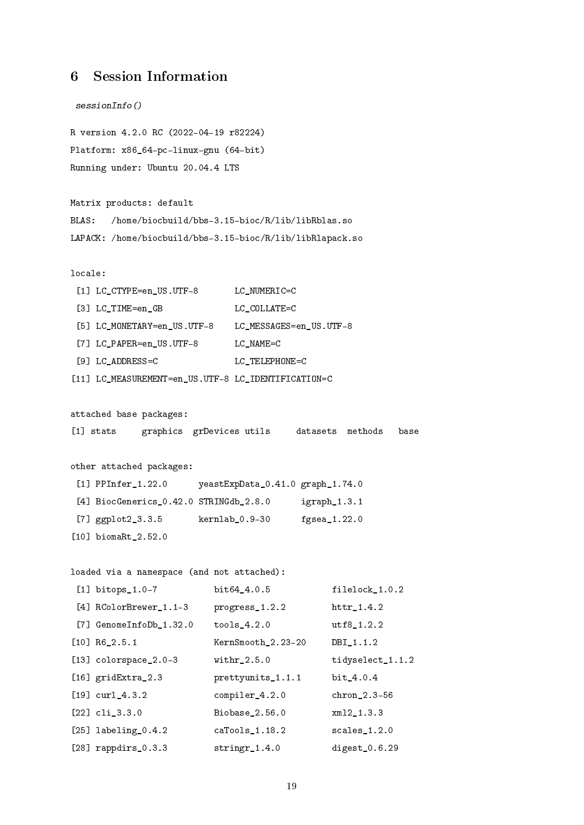# 6 Session Information

```
sessionInfo()
R version 4.2.0 RC (2022-04-19 r82224)
Platform: x86_64-pc-linux-gnu (64-bit)
Running under: Ubuntu 20.04.4 LTS
Matrix products: default
BLAS: /home/biocbuild/bbs-3.15-bioc/R/lib/libRblas.so
LAPACK: /home/biocbuild/bbs-3.15-bioc/R/lib/libRlapack.so
locale:
 [1] LC_CTYPE=en_US.UTF-8 LC_NUMERIC=C
 [3] LC TIME=en GB LC COLLATE=C
 [5] LC_MONETARY=en_US.UTF-8 LC_MESSAGES=en_US.UTF-8
 [7] LC PAPER=en US.UTF-8 LC NAME=C
 [9] LC_ADDRESS=C LC_TELEPHONE=C
[11] LC_MEASUREMENT=en_US.UTF-8 LC_IDENTIFICATION=C
attached base packages:
[1] stats graphics grDevices utils datasets methods base
other attached packages:
 [1] PPInfer_1.22.0 yeastExpData_0.41.0 graph_1.74.0
 [4] BiocGenerics_0.42.0 STRINGdb_2.8.0 igraph_1.3.1
 [7] ggplot2_3.3.5 kernlab_0.9-30 fgsea_1.22.0
[10] biomaRt 2.52.0
loaded via a namespace (and not attached):
 [1] bitops_1.0-7 bit64_4.0.5 filelock_1.0.2
 [4] RColorBrewer_1.1-3 progress_1.2.2 httr_1.4.2
[7] GenomeInfoDb_1.32.0 tools_4.2.0 utf8_1.2.2
[10] R6_2.5.1 KernSmooth_2.23-20 DBI_1.1.2
[13] colorspace_2.0-3 withr_2.5.0 tidyselect_1.1.2
[16] gridExtra_2.3 prettyunits_1.1.1 bit_4.0.4
[19] curl_4.3.2 compiler_4.2.0 chron_2.3-56
[22] cli_3.3.0 Biobase_2.56.0 xml2_1.3.3
```
[25] labeling\_0.4.2 caTools\_1.18.2 scales\_1.2.0 [28] rappdirs\_0.3.3 stringr\_1.4.0 digest\_0.6.29